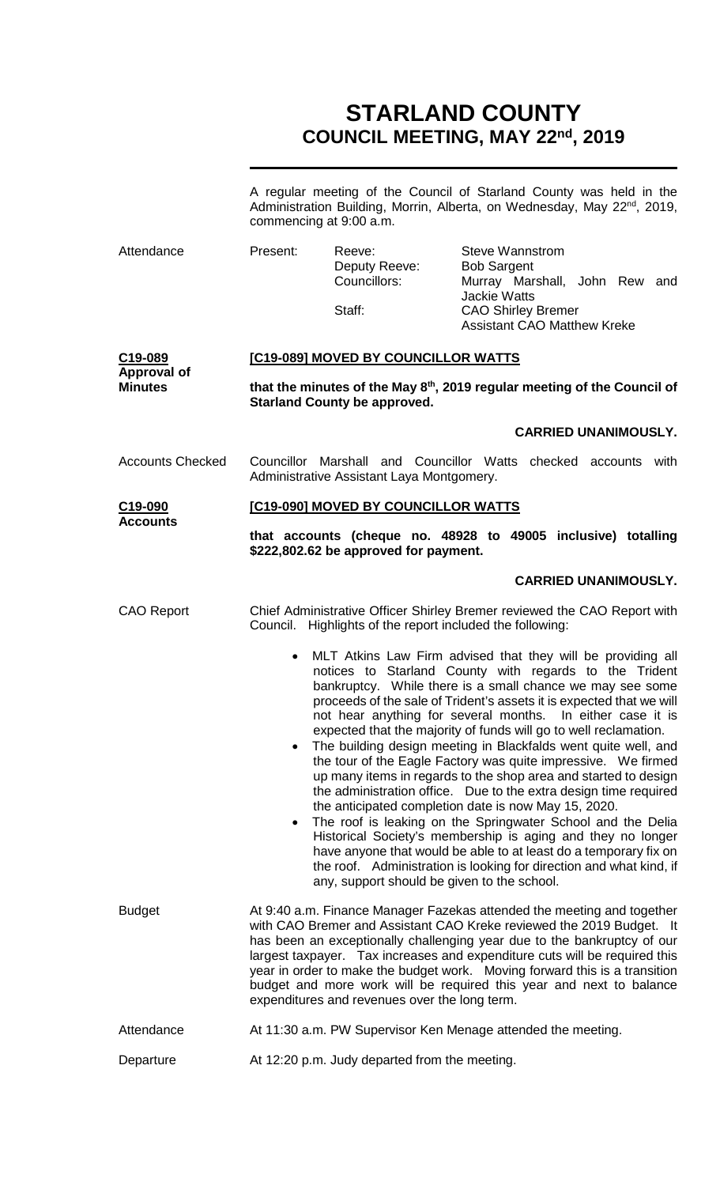# **STARLAND COUNTY COUNCIL MEETING, MAY 22nd, 2019**

|                                         | A regular meeting of the Council of Starland County was held in the<br>Administration Building, Morrin, Alberta, on Wednesday, May 22 <sup>nd</sup> , 2019,<br>commencing at 9:00 a.m.                                                                                                                                                                                                                                                                                                                        |                                             |                                                                                                                                                                                                                                                                                                                                                                                                                                                                                                                                                                                                                                                                                                                                                                                                                                                                                                                                                                                                         |  |  |
|-----------------------------------------|---------------------------------------------------------------------------------------------------------------------------------------------------------------------------------------------------------------------------------------------------------------------------------------------------------------------------------------------------------------------------------------------------------------------------------------------------------------------------------------------------------------|---------------------------------------------|---------------------------------------------------------------------------------------------------------------------------------------------------------------------------------------------------------------------------------------------------------------------------------------------------------------------------------------------------------------------------------------------------------------------------------------------------------------------------------------------------------------------------------------------------------------------------------------------------------------------------------------------------------------------------------------------------------------------------------------------------------------------------------------------------------------------------------------------------------------------------------------------------------------------------------------------------------------------------------------------------------|--|--|
| Attendance                              | Present:                                                                                                                                                                                                                                                                                                                                                                                                                                                                                                      | Reeve:<br>Deputy Reeve:<br>Councillors:     | <b>Steve Wannstrom</b><br><b>Bob Sargent</b><br>Murray Marshall, John Rew and                                                                                                                                                                                                                                                                                                                                                                                                                                                                                                                                                                                                                                                                                                                                                                                                                                                                                                                           |  |  |
|                                         |                                                                                                                                                                                                                                                                                                                                                                                                                                                                                                               | Staff:                                      | <b>Jackie Watts</b><br><b>CAO Shirley Bremer</b><br><b>Assistant CAO Matthew Kreke</b>                                                                                                                                                                                                                                                                                                                                                                                                                                                                                                                                                                                                                                                                                                                                                                                                                                                                                                                  |  |  |
| C19-089                                 | [C19-089] MOVED BY COUNCILLOR WATTS                                                                                                                                                                                                                                                                                                                                                                                                                                                                           |                                             |                                                                                                                                                                                                                                                                                                                                                                                                                                                                                                                                                                                                                                                                                                                                                                                                                                                                                                                                                                                                         |  |  |
| <b>Approval of</b><br><b>Minutes</b>    | that the minutes of the May 8 <sup>th</sup> , 2019 regular meeting of the Council of<br><b>Starland County be approved.</b>                                                                                                                                                                                                                                                                                                                                                                                   |                                             |                                                                                                                                                                                                                                                                                                                                                                                                                                                                                                                                                                                                                                                                                                                                                                                                                                                                                                                                                                                                         |  |  |
|                                         |                                                                                                                                                                                                                                                                                                                                                                                                                                                                                                               |                                             | <b>CARRIED UNANIMOUSLY.</b>                                                                                                                                                                                                                                                                                                                                                                                                                                                                                                                                                                                                                                                                                                                                                                                                                                                                                                                                                                             |  |  |
| <b>Accounts Checked</b>                 | Councillor Marshall and Councillor Watts checked accounts with<br>Administrative Assistant Laya Montgomery.                                                                                                                                                                                                                                                                                                                                                                                                   |                                             |                                                                                                                                                                                                                                                                                                                                                                                                                                                                                                                                                                                                                                                                                                                                                                                                                                                                                                                                                                                                         |  |  |
| C <sub>19</sub> -090<br><b>Accounts</b> | [C19-090] MOVED BY COUNCILLOR WATTS                                                                                                                                                                                                                                                                                                                                                                                                                                                                           |                                             |                                                                                                                                                                                                                                                                                                                                                                                                                                                                                                                                                                                                                                                                                                                                                                                                                                                                                                                                                                                                         |  |  |
|                                         | that accounts (cheque no. 48928 to 49005 inclusive) totalling<br>\$222,802.62 be approved for payment.                                                                                                                                                                                                                                                                                                                                                                                                        |                                             |                                                                                                                                                                                                                                                                                                                                                                                                                                                                                                                                                                                                                                                                                                                                                                                                                                                                                                                                                                                                         |  |  |
|                                         |                                                                                                                                                                                                                                                                                                                                                                                                                                                                                                               |                                             | <b>CARRIED UNANIMOUSLY.</b>                                                                                                                                                                                                                                                                                                                                                                                                                                                                                                                                                                                                                                                                                                                                                                                                                                                                                                                                                                             |  |  |
| <b>CAO Report</b>                       | Chief Administrative Officer Shirley Bremer reviewed the CAO Report with<br>Council. Highlights of the report included the following:                                                                                                                                                                                                                                                                                                                                                                         |                                             |                                                                                                                                                                                                                                                                                                                                                                                                                                                                                                                                                                                                                                                                                                                                                                                                                                                                                                                                                                                                         |  |  |
|                                         | $\bullet$<br>$\bullet$<br>$\bullet$                                                                                                                                                                                                                                                                                                                                                                                                                                                                           | any, support should be given to the school. | MLT Atkins Law Firm advised that they will be providing all<br>notices to Starland County with regards to the Trident<br>bankruptcy. While there is a small chance we may see some<br>proceeds of the sale of Trident's assets it is expected that we will<br>not hear anything for several months. In either case it is<br>expected that the majority of funds will go to well reclamation.<br>The building design meeting in Blackfalds went quite well, and<br>the tour of the Eagle Factory was quite impressive. We firmed<br>up many items in regards to the shop area and started to design<br>the administration office. Due to the extra design time required<br>the anticipated completion date is now May 15, 2020.<br>The roof is leaking on the Springwater School and the Delia<br>Historical Society's membership is aging and they no longer<br>have anyone that would be able to at least do a temporary fix on<br>the roof. Administration is looking for direction and what kind, if |  |  |
| <b>Budget</b>                           | At 9:40 a.m. Finance Manager Fazekas attended the meeting and together<br>with CAO Bremer and Assistant CAO Kreke reviewed the 2019 Budget. It<br>has been an exceptionally challenging year due to the bankruptcy of our<br>largest taxpayer. Tax increases and expenditure cuts will be required this<br>year in order to make the budget work. Moving forward this is a transition<br>budget and more work will be required this year and next to balance<br>expenditures and revenues over the long term. |                                             |                                                                                                                                                                                                                                                                                                                                                                                                                                                                                                                                                                                                                                                                                                                                                                                                                                                                                                                                                                                                         |  |  |
| Attendance                              | At 11:30 a.m. PW Supervisor Ken Menage attended the meeting.                                                                                                                                                                                                                                                                                                                                                                                                                                                  |                                             |                                                                                                                                                                                                                                                                                                                                                                                                                                                                                                                                                                                                                                                                                                                                                                                                                                                                                                                                                                                                         |  |  |
| Departure                               | At 12:20 p.m. Judy departed from the meeting.                                                                                                                                                                                                                                                                                                                                                                                                                                                                 |                                             |                                                                                                                                                                                                                                                                                                                                                                                                                                                                                                                                                                                                                                                                                                                                                                                                                                                                                                                                                                                                         |  |  |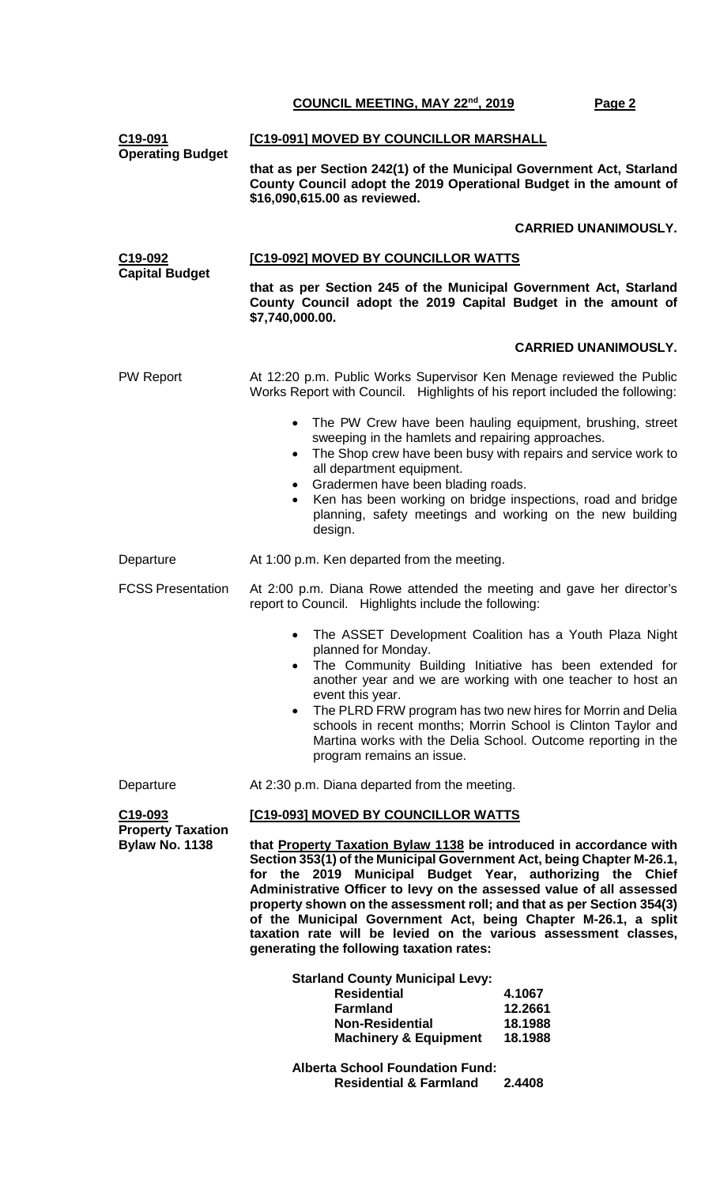| C19-091<br><b>Operating Budget</b>                | [C19-091] MOVED BY COUNCILLOR MARSHALL                                                                                                                                                                                                                                                                                                                                                                                                                                                                                                     |  |  |  |
|---------------------------------------------------|--------------------------------------------------------------------------------------------------------------------------------------------------------------------------------------------------------------------------------------------------------------------------------------------------------------------------------------------------------------------------------------------------------------------------------------------------------------------------------------------------------------------------------------------|--|--|--|
|                                                   | that as per Section 242(1) of the Municipal Government Act, Starland<br>County Council adopt the 2019 Operational Budget in the amount of<br>\$16,090,615.00 as reviewed.                                                                                                                                                                                                                                                                                                                                                                  |  |  |  |
|                                                   | <b>CARRIED UNANIMOUSLY.</b>                                                                                                                                                                                                                                                                                                                                                                                                                                                                                                                |  |  |  |
| C19-092                                           | [C19-092] MOVED BY COUNCILLOR WATTS                                                                                                                                                                                                                                                                                                                                                                                                                                                                                                        |  |  |  |
| <b>Capital Budget</b>                             | that as per Section 245 of the Municipal Government Act, Starland<br>County Council adopt the 2019 Capital Budget in the amount of<br>\$7,740,000.00.                                                                                                                                                                                                                                                                                                                                                                                      |  |  |  |
|                                                   | <b>CARRIED UNANIMOUSLY.</b>                                                                                                                                                                                                                                                                                                                                                                                                                                                                                                                |  |  |  |
| <b>PW Report</b>                                  | At 12:20 p.m. Public Works Supervisor Ken Menage reviewed the Public<br>Works Report with Council. Highlights of his report included the following:                                                                                                                                                                                                                                                                                                                                                                                        |  |  |  |
|                                                   | The PW Crew have been hauling equipment, brushing, street<br>$\bullet$<br>sweeping in the hamlets and repairing approaches.<br>The Shop crew have been busy with repairs and service work to<br>$\bullet$<br>all department equipment.<br>• Gradermen have been blading roads.<br>Ken has been working on bridge inspections, road and bridge<br>planning, safety meetings and working on the new building<br>design.                                                                                                                      |  |  |  |
| Departure                                         | At 1:00 p.m. Ken departed from the meeting.                                                                                                                                                                                                                                                                                                                                                                                                                                                                                                |  |  |  |
| <b>FCSS Presentation</b>                          | At 2:00 p.m. Diana Rowe attended the meeting and gave her director's<br>report to Council. Highlights include the following:                                                                                                                                                                                                                                                                                                                                                                                                               |  |  |  |
|                                                   | The ASSET Development Coalition has a Youth Plaza Night<br>planned for Monday.<br>The Community Building Initiative has been extended for<br>$\bullet$<br>another year and we are working with one teacher to host an<br>event this year.<br>The PLRD FRW program has two new hires for Morrin and Delia<br>$\bullet$<br>schools in recent months; Morrin School is Clinton Taylor and<br>Martina works with the Delia School. Outcome reporting in the<br>program remains an issue.                                                       |  |  |  |
| Departure                                         | At 2:30 p.m. Diana departed from the meeting.                                                                                                                                                                                                                                                                                                                                                                                                                                                                                              |  |  |  |
| C <sub>19</sub> -093                              | [C19-093] MOVED BY COUNCILLOR WATTS                                                                                                                                                                                                                                                                                                                                                                                                                                                                                                        |  |  |  |
| <b>Property Taxation</b><br><b>Bylaw No. 1138</b> | that Property Taxation Bylaw 1138 be introduced in accordance with<br>Section 353(1) of the Municipal Government Act, being Chapter M-26.1,<br>for the 2019 Municipal Budget Year, authorizing the Chief<br>Administrative Officer to levy on the assessed value of all assessed<br>property shown on the assessment roll; and that as per Section 354(3)<br>of the Municipal Government Act, being Chapter M-26.1, a split<br>taxation rate will be levied on the various assessment classes,<br>generating the following taxation rates: |  |  |  |
|                                                   | <b>Starland County Municipal Levy:</b><br><b>Residential</b><br>4.1067<br><b>Farmland</b><br>12.2661<br><b>Non-Residential</b><br>18.1988<br><b>Machinery &amp; Equipment</b><br>18.1988                                                                                                                                                                                                                                                                                                                                                   |  |  |  |
|                                                   | <b>Alberta School Foundation Fund:</b><br><b>Residential &amp; Farmland</b><br>2.4408                                                                                                                                                                                                                                                                                                                                                                                                                                                      |  |  |  |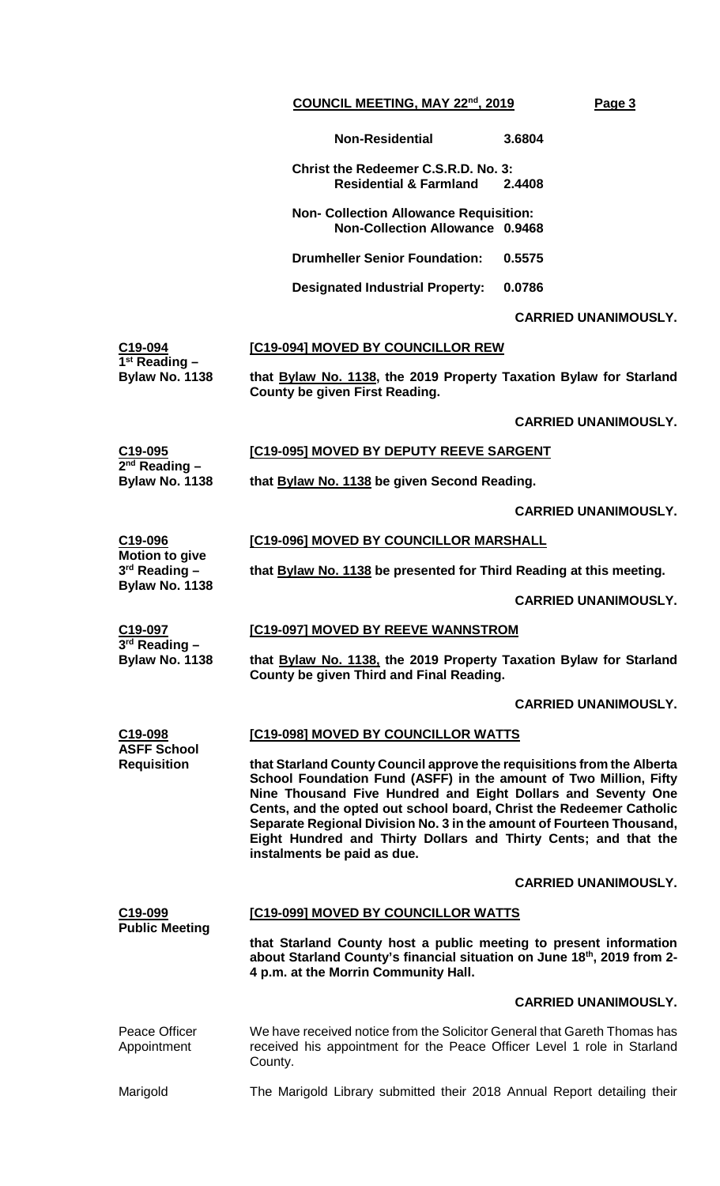**Non-Residential 3.6804**

**Christ the Redeemer C.S.R.D. No. 3: Residential & Farmland 2.4408**

**Non- Collection Allowance Requisition: Non-Collection Allowance 0.9468**

**Drumheller Senior Foundation: 0.5575**

**Designated Industrial Property: 0.0786**

# **CARRIED UNANIMOUSLY.**

| C19-094               | <b>[C19-094] MOVED BY COUNCILLOR REW</b>                           |
|-----------------------|--------------------------------------------------------------------|
| $1st$ Reading $-$     |                                                                    |
| <b>Bylaw No. 1138</b> | that Bylaw No. 1138, the 2019 Property Taxation Bylaw for Starland |
|                       | County be given First Reading.                                     |

**CARRIED UNANIMOUSLY.**

# **[C19-095] MOVED BY DEPUTY REEVE SARGENT**

**that Bylaw No. 1138 be given Second Reading.**

**CARRIED UNANIMOUSLY.**

#### **Motion to give [C19-096] MOVED BY COUNCILLOR MARSHALL**

**that Bylaw No. 1138 be presented for Third Reading at this meeting.**

**CARRIED UNANIMOUSLY.**

**[C19-097] MOVED BY REEVE WANNSTROM**

**C19-097 3rd Reading – Bylaw No. 1138**

**3rd Reading – Bylaw No. 1138**

**C19-095 2nd Reading – Bylaw No. 1138**

**C19-096**

**that Bylaw No. 1138, the 2019 Property Taxation Bylaw for Starland County be given Third and Final Reading.**

#### **CARRIED UNANIMOUSLY.**

**C19-098 ASFF School Requisition [C19-098] MOVED BY COUNCILLOR WATTS that Starland County Council approve the requisitions from the Alberta School Foundation Fund (ASFF) in the amount of Two Million, Fifty Nine Thousand Five Hundred and Eight Dollars and Seventy One Cents, and the opted out school board, Christ the Redeemer Catholic Separate Regional Division No. 3 in the amount of Fourteen Thousand, Eight Hundred and Thirty Dollars and Thirty Cents; and that the instalments be paid as due.**

#### **CARRIED UNANIMOUSLY.**

# **C19-099 Public Meeting [C19-099] MOVED BY COUNCILLOR WATTS that Starland County host a public meeting to present information about Starland County's financial situation on June 18th, 2019 from 2- 4 p.m. at the Morrin Community Hall. CARRIED UNANIMOUSLY.** Peace Officer Appointment We have received notice from the Solicitor General that Gareth Thomas has received his appointment for the Peace Officer Level 1 role in Starland County. Marigold The Marigold Library submitted their 2018 Annual Report detailing their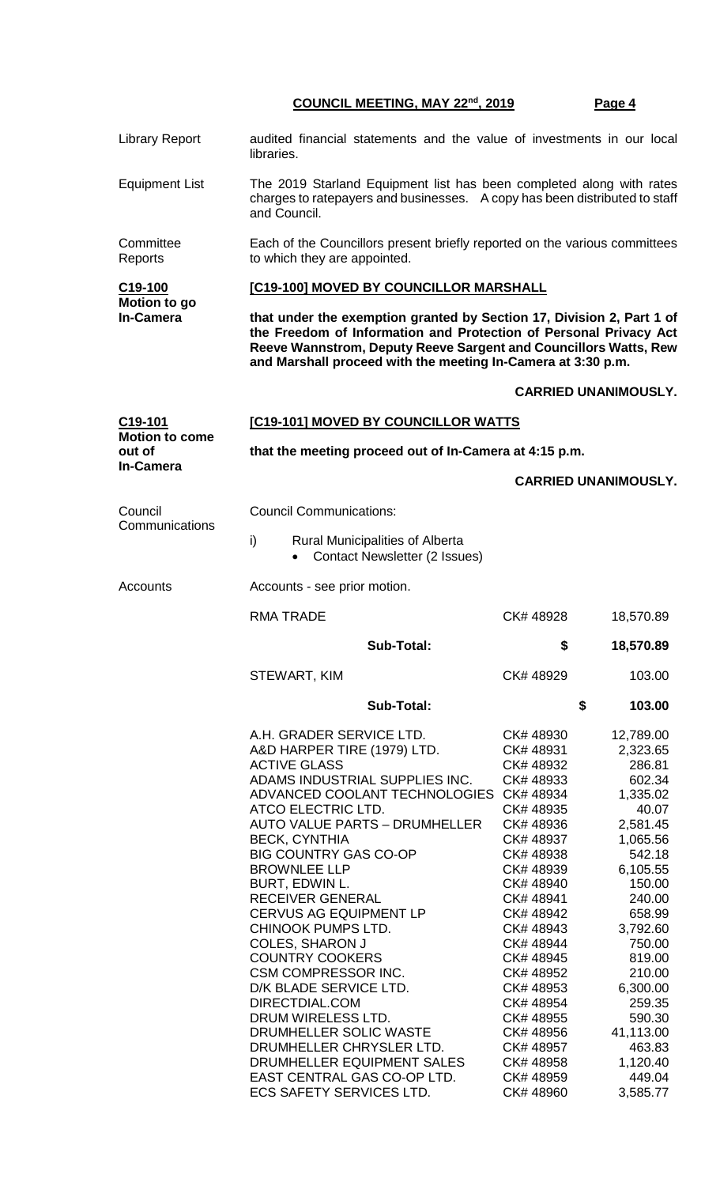| <b>Library Report</b>                       | audited financial statements and the value of investments in our local<br>libraries.                                                                                                                                                                                                                                                                                                                                                                                                                                                                                                                                                                                         |                                                                                                                                                                                                                                                                                                   |                                                                                                                                                                                                                                                                   |  |  |  |
|---------------------------------------------|------------------------------------------------------------------------------------------------------------------------------------------------------------------------------------------------------------------------------------------------------------------------------------------------------------------------------------------------------------------------------------------------------------------------------------------------------------------------------------------------------------------------------------------------------------------------------------------------------------------------------------------------------------------------------|---------------------------------------------------------------------------------------------------------------------------------------------------------------------------------------------------------------------------------------------------------------------------------------------------|-------------------------------------------------------------------------------------------------------------------------------------------------------------------------------------------------------------------------------------------------------------------|--|--|--|
| <b>Equipment List</b>                       | The 2019 Starland Equipment list has been completed along with rates<br>charges to ratepayers and businesses. A copy has been distributed to staff<br>and Council.                                                                                                                                                                                                                                                                                                                                                                                                                                                                                                           |                                                                                                                                                                                                                                                                                                   |                                                                                                                                                                                                                                                                   |  |  |  |
| Committee<br>Reports                        | Each of the Councillors present briefly reported on the various committees<br>to which they are appointed.                                                                                                                                                                                                                                                                                                                                                                                                                                                                                                                                                                   |                                                                                                                                                                                                                                                                                                   |                                                                                                                                                                                                                                                                   |  |  |  |
| C19-100<br>Motion to go<br><b>In-Camera</b> | [C19-100] MOVED BY COUNCILLOR MARSHALL                                                                                                                                                                                                                                                                                                                                                                                                                                                                                                                                                                                                                                       |                                                                                                                                                                                                                                                                                                   |                                                                                                                                                                                                                                                                   |  |  |  |
|                                             | that under the exemption granted by Section 17, Division 2, Part 1 of<br>the Freedom of Information and Protection of Personal Privacy Act<br>Reeve Wannstrom, Deputy Reeve Sargent and Councillors Watts, Rew<br>and Marshall proceed with the meeting In-Camera at 3:30 p.m.                                                                                                                                                                                                                                                                                                                                                                                               |                                                                                                                                                                                                                                                                                                   |                                                                                                                                                                                                                                                                   |  |  |  |
|                                             |                                                                                                                                                                                                                                                                                                                                                                                                                                                                                                                                                                                                                                                                              |                                                                                                                                                                                                                                                                                                   | <b>CARRIED UNANIMOUSLY.</b>                                                                                                                                                                                                                                       |  |  |  |
| C19-101                                     | [C19-101] MOVED BY COUNCILLOR WATTS                                                                                                                                                                                                                                                                                                                                                                                                                                                                                                                                                                                                                                          |                                                                                                                                                                                                                                                                                                   |                                                                                                                                                                                                                                                                   |  |  |  |
| <b>Motion to come</b><br>out of             | that the meeting proceed out of In-Camera at 4:15 p.m.                                                                                                                                                                                                                                                                                                                                                                                                                                                                                                                                                                                                                       |                                                                                                                                                                                                                                                                                                   |                                                                                                                                                                                                                                                                   |  |  |  |
| <b>In-Camera</b>                            |                                                                                                                                                                                                                                                                                                                                                                                                                                                                                                                                                                                                                                                                              |                                                                                                                                                                                                                                                                                                   | <b>CARRIED UNANIMOUSLY.</b>                                                                                                                                                                                                                                       |  |  |  |
| Council                                     | <b>Council Communications:</b>                                                                                                                                                                                                                                                                                                                                                                                                                                                                                                                                                                                                                                               |                                                                                                                                                                                                                                                                                                   |                                                                                                                                                                                                                                                                   |  |  |  |
| Communications                              | i)<br><b>Rural Municipalities of Alberta</b><br><b>Contact Newsletter (2 Issues)</b>                                                                                                                                                                                                                                                                                                                                                                                                                                                                                                                                                                                         |                                                                                                                                                                                                                                                                                                   |                                                                                                                                                                                                                                                                   |  |  |  |
| Accounts                                    | Accounts - see prior motion.                                                                                                                                                                                                                                                                                                                                                                                                                                                                                                                                                                                                                                                 |                                                                                                                                                                                                                                                                                                   |                                                                                                                                                                                                                                                                   |  |  |  |
|                                             | <b>RMA TRADE</b>                                                                                                                                                                                                                                                                                                                                                                                                                                                                                                                                                                                                                                                             | CK#48928                                                                                                                                                                                                                                                                                          | 18,570.89                                                                                                                                                                                                                                                         |  |  |  |
|                                             | <b>Sub-Total:</b>                                                                                                                                                                                                                                                                                                                                                                                                                                                                                                                                                                                                                                                            | \$                                                                                                                                                                                                                                                                                                | 18,570.89                                                                                                                                                                                                                                                         |  |  |  |
|                                             | STEWART, KIM                                                                                                                                                                                                                                                                                                                                                                                                                                                                                                                                                                                                                                                                 | CK# 48929                                                                                                                                                                                                                                                                                         | 103.00                                                                                                                                                                                                                                                            |  |  |  |
|                                             | Sub-Total:                                                                                                                                                                                                                                                                                                                                                                                                                                                                                                                                                                                                                                                                   |                                                                                                                                                                                                                                                                                                   | \$<br>103.00                                                                                                                                                                                                                                                      |  |  |  |
|                                             | A.H. GRADER SERVICE LTD.<br>A&D HARPER TIRE (1979) LTD.<br><b>ACTIVE GLASS</b><br>ADAMS INDUSTRIAL SUPPLIES INC.<br>ADVANCED COOLANT TECHNOLOGIES CK# 48934<br>ATCO ELECTRIC LTD.<br><b>AUTO VALUE PARTS - DRUMHELLER</b><br><b>BECK, CYNTHIA</b><br><b>BIG COUNTRY GAS CO-OP</b><br><b>BROWNLEE LLP</b><br>BURT, EDWIN L.<br><b>RECEIVER GENERAL</b><br><b>CERVUS AG EQUIPMENT LP</b><br>CHINOOK PUMPS LTD.<br><b>COLES, SHARON J</b><br><b>COUNTRY COOKERS</b><br>CSM COMPRESSOR INC.<br>D/K BLADE SERVICE LTD.<br>DIRECTDIAL.COM<br>DRUM WIRELESS LTD.<br>DRUMHELLER SOLIC WASTE<br>DRUMHELLER CHRYSLER LTD.<br>DRUMHELLER EQUIPMENT SALES<br>EAST CENTRAL GAS CO-OP LTD. | CK# 48930<br>CK#48931<br>CK# 48932<br>CK#48933<br>CK# 48935<br>CK#48936<br>CK#48937<br>CK#48938<br>CK# 48939<br>CK# 48940<br>CK#48941<br>CK# 48942<br>CK# 48943<br>CK# 48944<br>CK# 48945<br>CK# 48952<br>CK# 48953<br>CK# 48954<br>CK# 48955<br>CK# 48956<br>CK# 48957<br>CK# 48958<br>CK# 48959 | 12,789.00<br>2,323.65<br>286.81<br>602.34<br>1,335.02<br>40.07<br>2,581.45<br>1,065.56<br>542.18<br>6,105.55<br>150.00<br>240.00<br>658.99<br>3,792.60<br>750.00<br>819.00<br>210.00<br>6,300.00<br>259.35<br>590.30<br>41,113.00<br>463.83<br>1,120.40<br>449.04 |  |  |  |
|                                             | <b>ECS SAFETY SERVICES LTD.</b>                                                                                                                                                                                                                                                                                                                                                                                                                                                                                                                                                                                                                                              | CK#48960                                                                                                                                                                                                                                                                                          | 3,585.77                                                                                                                                                                                                                                                          |  |  |  |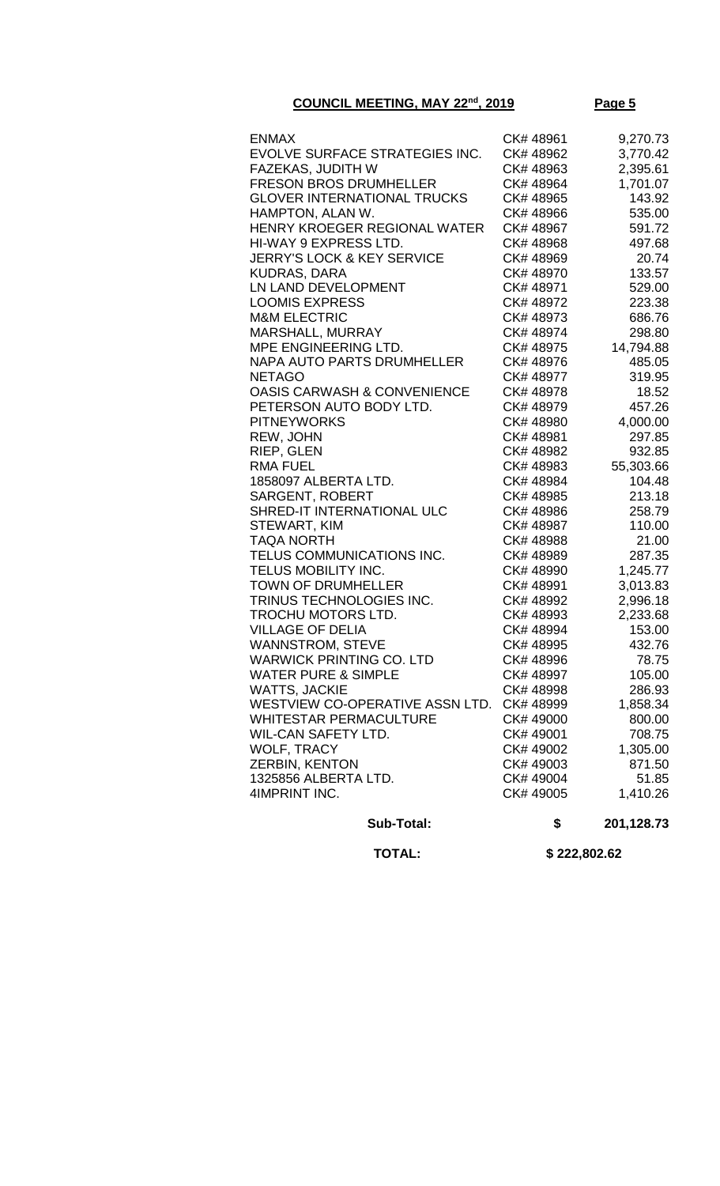| <b>Sub-Total:</b>                                   | \$                     | 201,128.73           |
|-----------------------------------------------------|------------------------|----------------------|
| 4IMPRINT INC.                                       | CK# 49005              | 1,410.26             |
| 1325856 ALBERTA LTD.                                | CK# 49004              | 51.85                |
| ZERBIN, KENTON                                      | CK# 49003              | 871.50               |
| <b>WOLF, TRACY</b>                                  | CK# 49002              | 1,305.00             |
|                                                     |                        | 708.75               |
| WIL-CAN SAFETY LTD.                                 | CK# 49001              | 800.00               |
| WHITESTAR PERMACULTURE                              | CK# 49000              | 1,858.34             |
| WESTVIEW CO-OPERATIVE ASSN LTD.                     | CK# 48999              | 286.93               |
| WATTS, JACKIE                                       | CK# 48998              |                      |
| <b>WATER PURE &amp; SIMPLE</b>                      | CK# 48997              | 105.00               |
| WANNSTROM, STEVE<br><b>WARWICK PRINTING CO. LTD</b> | CK# 48996              | 78.75                |
| <b>VILLAGE OF DELIA</b>                             | CK#48995               | 153.00<br>432.76     |
| TROCHU MOTORS LTD.                                  | CK# 48993<br>CK# 48994 | 2,233.68             |
| TRINUS TECHNOLOGIES INC.                            | CK# 48992              | 2,996.18             |
|                                                     |                        |                      |
| <b>TOWN OF DRUMHELLER</b>                           | CK# 48991              | 1,245.77<br>3,013.83 |
| TELUS COMMUNICATIONS INC.<br>TELUS MOBILITY INC.    | CK# 48989<br>CK# 48990 | 287.35               |
| TAQA NORTH                                          | CK# 48988              | 21.00                |
| STEWART, KIM                                        | CK# 48987              | 110.00               |
| SHRED-IT INTERNATIONAL ULC                          | CK# 48986              | 258.79               |
| <b>SARGENT, ROBERT</b>                              | CK# 48985              | 213.18               |
| 1858097 ALBERTA LTD.                                | CK# 48984              | 104.48               |
|                                                     |                        | 55,303.66            |
| <b>RMA FUEL</b>                                     | CK#48983               |                      |
| RIEP, GLEN                                          | CK# 48982              | 932.85               |
| REW, JOHN                                           | CK# 48981              | 297.85               |
| <b>PITNEYWORKS</b>                                  | CK# 48980              | 4,000.00             |
| PETERSON AUTO BODY LTD.                             | CK# 48979              | 457.26               |
| OASIS CARWASH & CONVENIENCE                         | CK# 48978              | 18.52                |
| <b>NETAGO</b>                                       | CK# 48976<br>CK# 48977 | 485.05<br>319.95     |
| MPE ENGINEERING LTD.<br>NAPA AUTO PARTS DRUMHELLER  | CK# 48975              | 14,794.88            |
| <b>MARSHALL, MURRAY</b>                             | CK# 48974              | 298.80               |
| <b>M&amp;M ELECTRIC</b>                             |                        | 686.76               |
| <b>LOOMIS EXPRESS</b>                               | CK# 48972<br>CK#48973  | 223.38               |
| LN LAND DEVELOPMENT                                 | CK# 48971              | 529.00               |
| KUDRAS, DARA                                        | CK# 48970              | 133.57               |
| <b>JERRY'S LOCK &amp; KEY SERVICE</b>               | CK# 48969              | 20.74                |
| HI-WAY 9 EXPRESS LTD.                               | CK# 48968              | 497.68               |
| HENRY KROEGER REGIONAL WATER                        | CK# 48967              | 591.72               |
| HAMPTON, ALAN W.                                    | CK# 48966              | 535.00               |
| <b>GLOVER INTERNATIONAL TRUCKS</b>                  | CK# 48965              | 143.92               |
| <b>FRESON BROS DRUMHELLER</b>                       | CK# 48964              | 1,701.07             |
| FAZEKAS, JUDITH W                                   | CK# 48963              | 2,395.61             |
| EVOLVE SURFACE STRATEGIES INC.                      | CK# 48962              | 3,770.42             |
| <b>ENMAX</b>                                        | CK# 48961              | 9,270.73             |
|                                                     |                        |                      |

 **TOTAL: \$ 222,802.62**